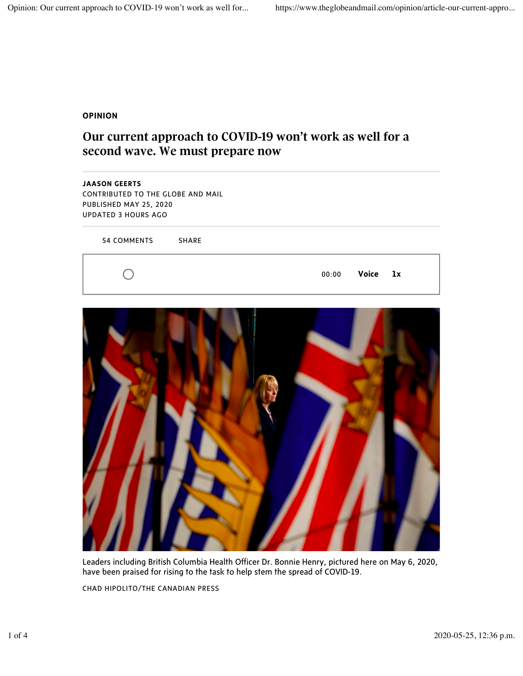## **OPINION**

## Our current approach to COVID-19 won't work as well for a second wave. We must prepare now





Leaders including British Columbia Health Officer Dr. Bonnie Henry, pictured here on May 6, 2020, have been praised for rising to the task to help stem the spread of COVID-19.

CHAD HIPOLITO/THE CANADIAN PRESS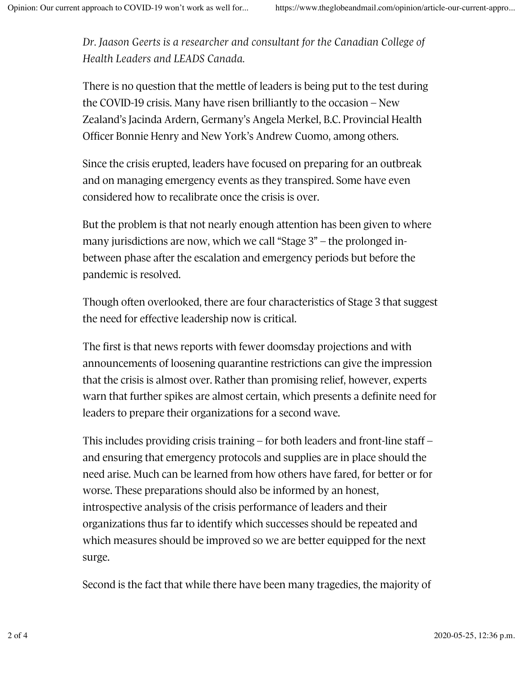Dr. Jaason Geerts is a researcher and consultant for the Canadian College of *Health Leaders and LEADS Canada.*

There is no question that the mettle of leaders is being put to the test during the COVID-19 crisis. Many have risen brilliantly to the occasion – New Zealand's Jacinda Ardern, Germany's Angela Merkel, B.C. Provincial Health Officer Bonnie Henry and New York's Andrew Cuomo, among others.

Since the crisis erupted, leaders have focused on preparing for an outbreak and on managing emergency events as they transpired. Some have even considered how to recalibrate once the crisis is over.

But the problem is that not nearly enough attention has been given to where many jurisdictions are now, which we call "Stage 3" – the prolonged inbetween phase after the escalation and emergency periods but before the pandemic is resolved.

Though often overlooked, there are four characteristics of Stage 3 that suggest the need for effective leadership now is critical.

The first is that news reports with fewer doomsday projections and with announcements of loosening quarantine restrictions can give the impression that the crisis is almost over. Rather than promising relief, however, experts warn that further spikes are almost certain, which presents a definite need for leaders to prepare their organizations for a second wave.

This includes providing crisis training – for both leaders and front-line staff – and ensuring that emergency protocols and supplies are in place should the need arise. Much can be learned from how others have fared, for better or for worse. These preparations should also be informed by an honest, introspective analysis of the crisis performance of leaders and their organizations thus far to identify which successes should be repeated and which measures should be improved so we are better equipped for the next surge.

Second is the fact that while there have been many tragedies, the majority of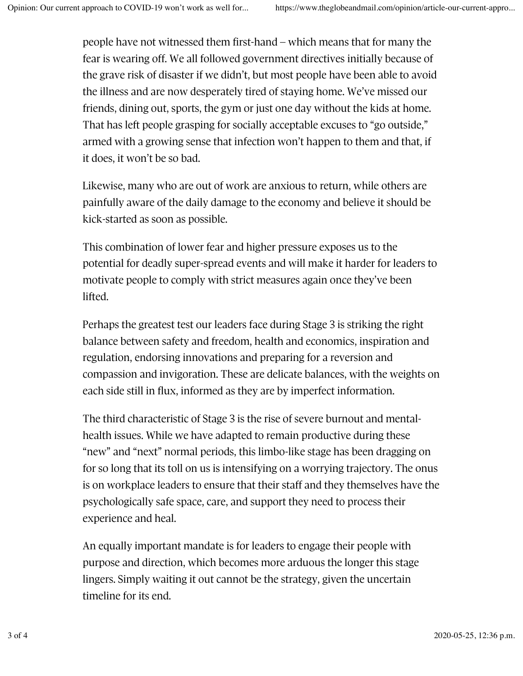people have not witnessed them first-hand – which means that for many the fear is wearing off. We all followed government directives initially because of the grave risk of disaster if we didn't, but most people have been able to avoid the illness and are now desperately tired of staying home. We've missed our friends, dining out, sports, the gym or just one day without the kids at home. That has left people grasping for socially acceptable excuses to "go outside," armed with a growing sense that infection won't happen to them and that, if it does, it won't be so bad.

Likewise, many who are out of work are anxious to return, while others are painfully aware of the daily damage to the economy and believe it should be kick-started as soon as possible.

This combination of lower fear and higher pressure exposes us to the potential for deadly super-spread events and will make it harder for leaders to motivate people to comply with strict measures again once they've been lifted.

Perhaps the greatest test our leaders face during Stage 3 is striking the right balance between safety and freedom, health and economics, inspiration and regulation, endorsing innovations and preparing for a reversion and compassion and invigoration. These are delicate balances, with the weights on each side still in flux, informed as they are by imperfect information.

The third characteristic of Stage 3 is the rise of severe burnout and mentalhealth issues. While we have adapted to remain productive during these "new" and "next" normal periods, this limbo-like stage has been dragging on for so long that its toll on us is intensifying on a worrying trajectory. The onus is on workplace leaders to ensure that their staff and they themselves have the psychologically safe space, care, and support they need to process their experience and heal.

An equally important mandate is for leaders to engage their people with purpose and direction, which becomes more arduous the longer this stage lingers. Simply waiting it out cannot be the strategy, given the uncertain timeline for its end.